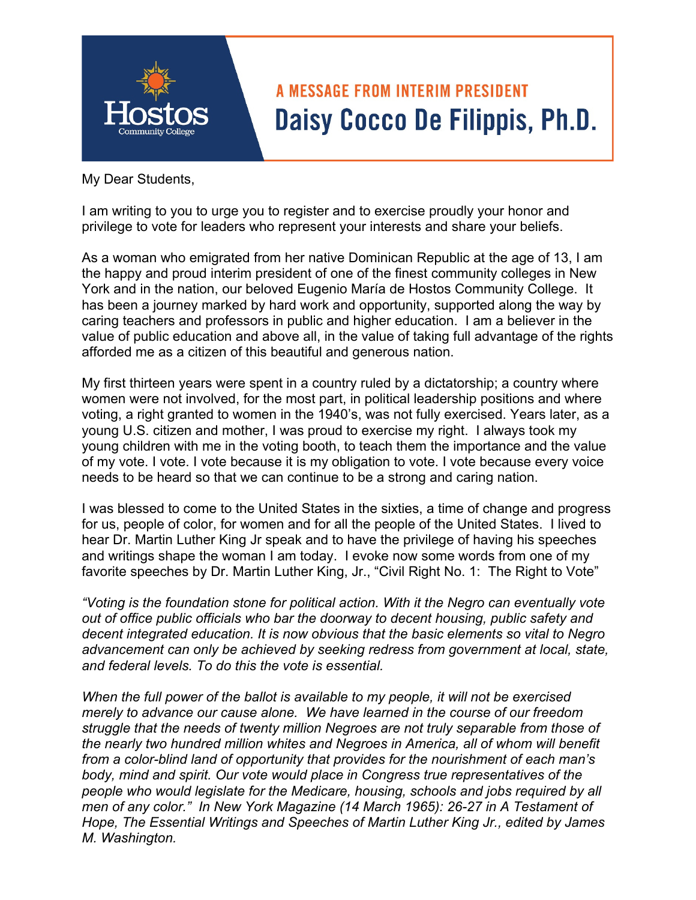

# **A MESSAGE FROM INTERIM PRESIDENT** Daisy Cocco De Filippis, Ph.D.

My Dear Students,

I am writing to you to urge you to register and to exercise proudly your honor and privilege to vote for leaders who represent your interests and share your beliefs.

As a woman who emigrated from her native Dominican Republic at the age of 13, I am the happy and proud interim president of one of the finest community colleges in New York and in the nation, our beloved Eugenio María de Hostos Community College. It has been a journey marked by hard work and opportunity, supported along the way by caring teachers and professors in public and higher education. I am a believer in the value of public education and above all, in the value of taking full advantage of the rights afforded me as a citizen of this beautiful and generous nation.

My first thirteen years were spent in a country ruled by a dictatorship; a country where women were not involved, for the most part, in political leadership positions and where voting, a right granted to women in the 1940's, was not fully exercised. Years later, as a young U.S. citizen and mother, I was proud to exercise my right. I always took my young children with me in the voting booth, to teach them the importance and the value of my vote. I vote. I vote because it is my obligation to vote. I vote because every voice needs to be heard so that we can continue to be a strong and caring nation.

I was blessed to come to the United States in the sixties, a time of change and progress for us, people of color, for women and for all the people of the United States. I lived to hear Dr. Martin Luther King Jr speak and to have the privilege of having his speeches and writings shape the woman I am today. I evoke now some words from one of my favorite speeches by Dr. Martin Luther King, Jr., "Civil Right No. 1: The Right to Vote"

*"Voting is the foundation stone for political action. With it the Negro can eventually vote out of office public officials who bar the doorway to decent housing, public safety and decent integrated education. It is now obvious that the basic elements so vital to Negro advancement can only be achieved by seeking redress from government at local, state, and federal levels. To do this the vote is essential.* 

*When the full power of the ballot is available to my people, it will not be exercised merely to advance our cause alone. We have learned in the course of our freedom struggle that the needs of twenty million Negroes are not truly separable from those of the nearly two hundred million whites and Negroes in America, all of whom will benefit from a color-blind land of opportunity that provides for the nourishment of each man's body, mind and spirit. Our vote would place in Congress true representatives of the people who would legislate for the Medicare, housing, schools and jobs required by all men of any color." In New York Magazine (14 March 1965): 26-27 in A Testament of Hope, The Essential Writings and Speeches of Martin Luther King Jr., edited by James M. Washington.*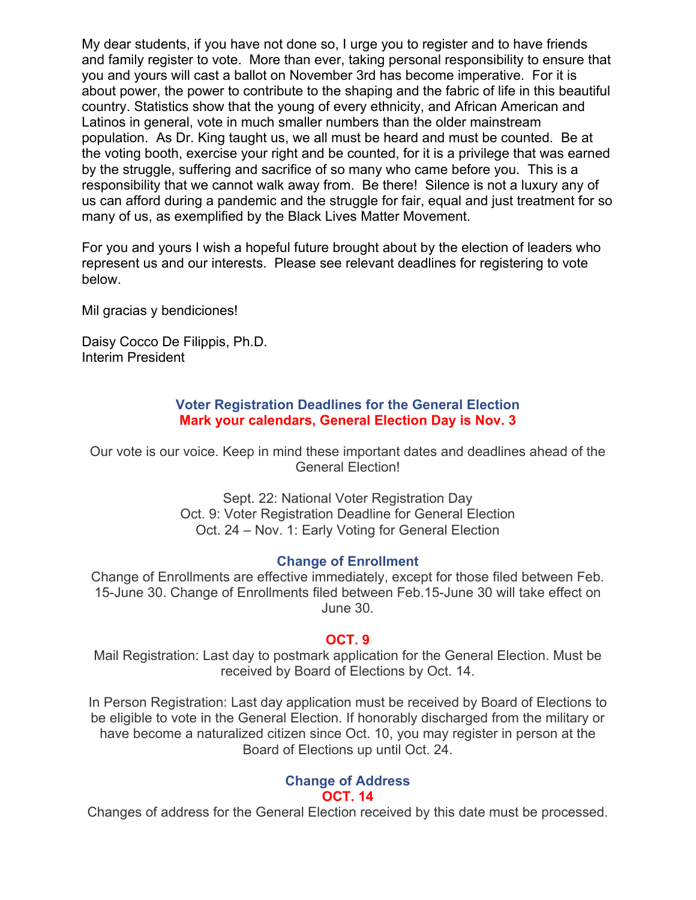My dear students, if you have not done so, I urge you to register and to have friends and family register to vote. More than ever, taking personal responsibility to ensure that you and yours will cast a ballot on November 3rd has become imperative. For it is about power, the power to contribute to the shaping and the fabric of life in this beautiful country. Statistics show that the young of every ethnicity, and African American and Latinos in general, vote in much smaller numbers than the older mainstream population. As Dr. King taught us, we all must be heard and must be counted. Be at the voting booth, exercise your right and be counted, for it is a privilege that was earned by the struggle, suffering and sacrifice of so many who came before you. This is a responsibility that we cannot walk away from. Be there! Silence is not a luxury any of us can afford during a pandemic and the struggle for fair, equal and just treatment for so many of us, as exemplified by the Black Lives Matter Movement.

For you and yours I wish a hopeful future brought about by the election of leaders who represent us and our interests. Please see relevant deadlines for registering to vote below.

Mil gracias y bendiciones!

Daisy Cocco De Filippis, Ph.D. Interim President

#### **Voter Registration Deadlines for the General Election Mark your calendars, General Election Day is Nov. 3**

Our vote is our voice. Keep in mind these important dates and deadlines ahead of the General Election!

> Sept. 22: National Voter Registration Day Oct. 9: Voter Registration Deadline for General Election Oct. 24 – Nov. 1: Early Voting for General Election

#### **Change of Enrollment**

Change of Enrollments are effective immediately, except for those filed between Feb. 15-June 30. Change of Enrollments filed between Feb.15-June 30 will take effect on June 30.

# **OCT. 9**

Mail Registration: Last day to postmark application for the General Election. Must be received by Board of Elections by Oct. 14.

In Person Registration: Last day application must be received by Board of Elections to be eligible to vote in the General Election. If honorably discharged from the military or have become a naturalized citizen since Oct. 10, you may register in person at the Board of Elections up until Oct. 24.

#### **Change of Address OCT. 14**

Changes of address for the General Election received by this date must be processed.